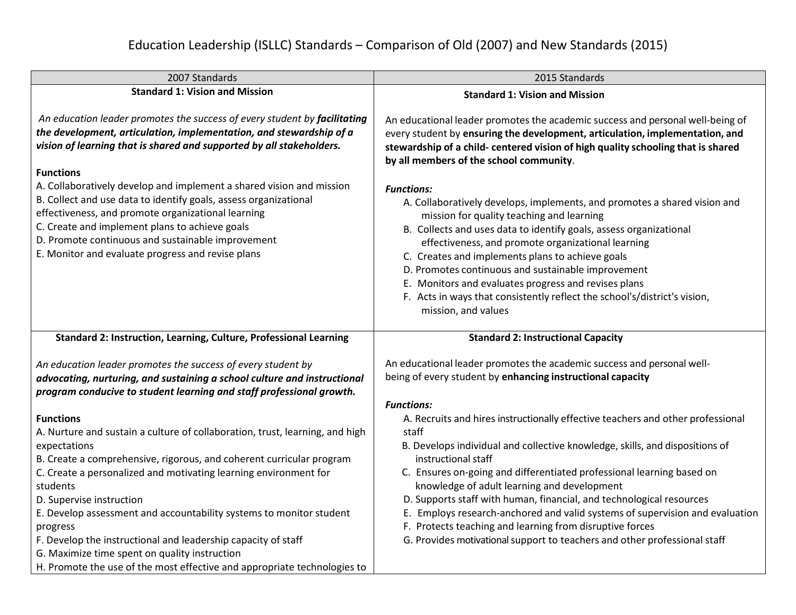## Education Leadership (ISLLC) Standards – Comparison of Old (2007) and New Standards (2015)

| 2007 Standards                                                                                                                                                                                                                                                                                                                                                                                                                                                                                                                                                                        | 2015 Standards                                                                                                                                                                                                                                                                                                                                                                                                                                                                                                                                                                                                           |
|---------------------------------------------------------------------------------------------------------------------------------------------------------------------------------------------------------------------------------------------------------------------------------------------------------------------------------------------------------------------------------------------------------------------------------------------------------------------------------------------------------------------------------------------------------------------------------------|--------------------------------------------------------------------------------------------------------------------------------------------------------------------------------------------------------------------------------------------------------------------------------------------------------------------------------------------------------------------------------------------------------------------------------------------------------------------------------------------------------------------------------------------------------------------------------------------------------------------------|
| <b>Standard 1: Vision and Mission</b>                                                                                                                                                                                                                                                                                                                                                                                                                                                                                                                                                 | <b>Standard 1: Vision and Mission</b>                                                                                                                                                                                                                                                                                                                                                                                                                                                                                                                                                                                    |
| An education leader promotes the success of every student by facilitating<br>the development, articulation, implementation, and stewardship of a<br>vision of learning that is shared and supported by all stakeholders.<br><b>Functions</b>                                                                                                                                                                                                                                                                                                                                          | An educational leader promotes the academic success and personal well-being of<br>every student by ensuring the development, articulation, implementation, and<br>stewardship of a child- centered vision of high quality schooling that is shared<br>by all members of the school community.                                                                                                                                                                                                                                                                                                                            |
| A. Collaboratively develop and implement a shared vision and mission<br>B. Collect and use data to identify goals, assess organizational<br>effectiveness, and promote organizational learning<br>C. Create and implement plans to achieve goals<br>D. Promote continuous and sustainable improvement<br>E. Monitor and evaluate progress and revise plans                                                                                                                                                                                                                            | <b>Functions:</b><br>A. Collaboratively develops, implements, and promotes a shared vision and<br>mission for quality teaching and learning<br>B. Collects and uses data to identify goals, assess organizational<br>effectiveness, and promote organizational learning<br>C. Creates and implements plans to achieve goals<br>D. Promotes continuous and sustainable improvement<br>E. Monitors and evaluates progress and revises plans<br>F. Acts in ways that consistently reflect the school's/district's vision,<br>mission, and values                                                                            |
| Standard 2: Instruction, Learning, Culture, Professional Learning                                                                                                                                                                                                                                                                                                                                                                                                                                                                                                                     | <b>Standard 2: Instructional Capacity</b>                                                                                                                                                                                                                                                                                                                                                                                                                                                                                                                                                                                |
| An education leader promotes the success of every student by<br>advocating, nurturing, and sustaining a school culture and instructional<br>program conducive to student learning and staff professional growth.                                                                                                                                                                                                                                                                                                                                                                      | An educational leader promotes the academic success and personal well-<br>being of every student by enhancing instructional capacity                                                                                                                                                                                                                                                                                                                                                                                                                                                                                     |
|                                                                                                                                                                                                                                                                                                                                                                                                                                                                                                                                                                                       | <b>Functions:</b>                                                                                                                                                                                                                                                                                                                                                                                                                                                                                                                                                                                                        |
| <b>Functions</b><br>A. Nurture and sustain a culture of collaboration, trust, learning, and high<br>expectations<br>B. Create a comprehensive, rigorous, and coherent curricular program<br>C. Create a personalized and motivating learning environment for<br>students<br>D. Supervise instruction<br>E. Develop assessment and accountability systems to monitor student<br>progress<br>F. Develop the instructional and leadership capacity of staff<br>G. Maximize time spent on quality instruction<br>H. Promote the use of the most effective and appropriate technologies to | A. Recruits and hires instructionally effective teachers and other professional<br>staff<br>B. Develops individual and collective knowledge, skills, and dispositions of<br>instructional staff<br>C. Ensures on-going and differentiated professional learning based on<br>knowledge of adult learning and development<br>D. Supports staff with human, financial, and technological resources<br>E. Employs research-anchored and valid systems of supervision and evaluation<br>F. Protects teaching and learning from disruptive forces<br>G. Provides motivational support to teachers and other professional staff |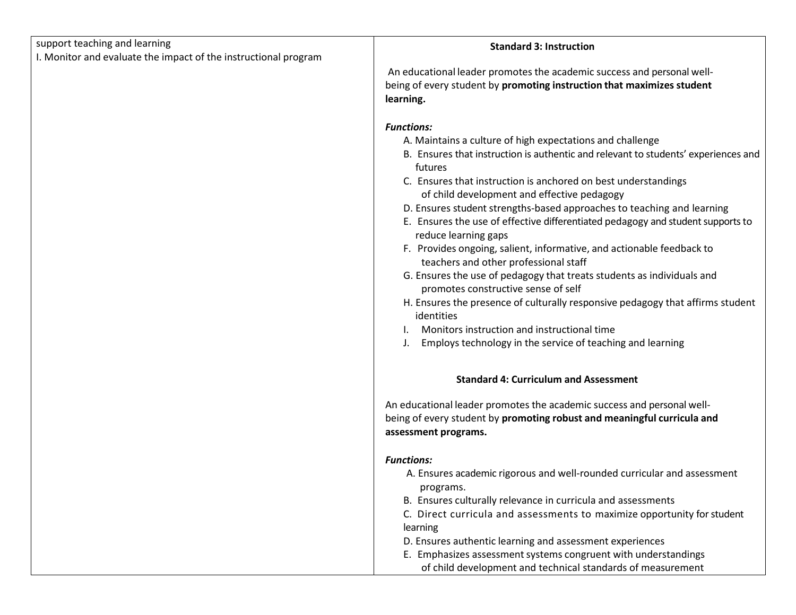| support teaching and learning                                   |                                                                                                                |
|-----------------------------------------------------------------|----------------------------------------------------------------------------------------------------------------|
| I. Monitor and evaluate the impact of the instructional program | <b>Standard 3: Instruction</b>                                                                                 |
|                                                                 | An educational leader promotes the academic success and personal well-                                         |
|                                                                 | being of every student by promoting instruction that maximizes student                                         |
|                                                                 | learning.                                                                                                      |
|                                                                 |                                                                                                                |
|                                                                 | <b>Functions:</b>                                                                                              |
|                                                                 | A. Maintains a culture of high expectations and challenge                                                      |
|                                                                 | B. Ensures that instruction is authentic and relevant to students' experiences and<br>futures                  |
|                                                                 | C. Ensures that instruction is anchored on best understandings<br>of child development and effective pedagogy  |
|                                                                 | D. Ensures student strengths-based approaches to teaching and learning                                         |
|                                                                 | E. Ensures the use of effective differentiated pedagogy and student supports to                                |
|                                                                 | reduce learning gaps                                                                                           |
|                                                                 | F. Provides ongoing, salient, informative, and actionable feedback to<br>teachers and other professional staff |
|                                                                 | G. Ensures the use of pedagogy that treats students as individuals and<br>promotes constructive sense of self  |
|                                                                 | H. Ensures the presence of culturally responsive pedagogy that affirms student                                 |
|                                                                 | identities                                                                                                     |
|                                                                 | Monitors instruction and instructional time                                                                    |
|                                                                 | Employs technology in the service of teaching and learning                                                     |
|                                                                 | <b>Standard 4: Curriculum and Assessment</b>                                                                   |
|                                                                 | An educational leader promotes the academic success and personal well-                                         |
|                                                                 | being of every student by promoting robust and meaningful curricula and                                        |
|                                                                 | assessment programs.                                                                                           |
|                                                                 | <b>Functions:</b>                                                                                              |
|                                                                 | A. Ensures academic rigorous and well-rounded curricular and assessment                                        |
|                                                                 | programs.                                                                                                      |
|                                                                 | B. Ensures culturally relevance in curricula and assessments                                                   |
|                                                                 | C. Direct curricula and assessments to maximize opportunity for student                                        |
|                                                                 | learning                                                                                                       |
|                                                                 | D. Ensures authentic learning and assessment experiences                                                       |
|                                                                 | E. Emphasizes assessment systems congruent with understandings                                                 |
|                                                                 | of child development and technical standards of measurement                                                    |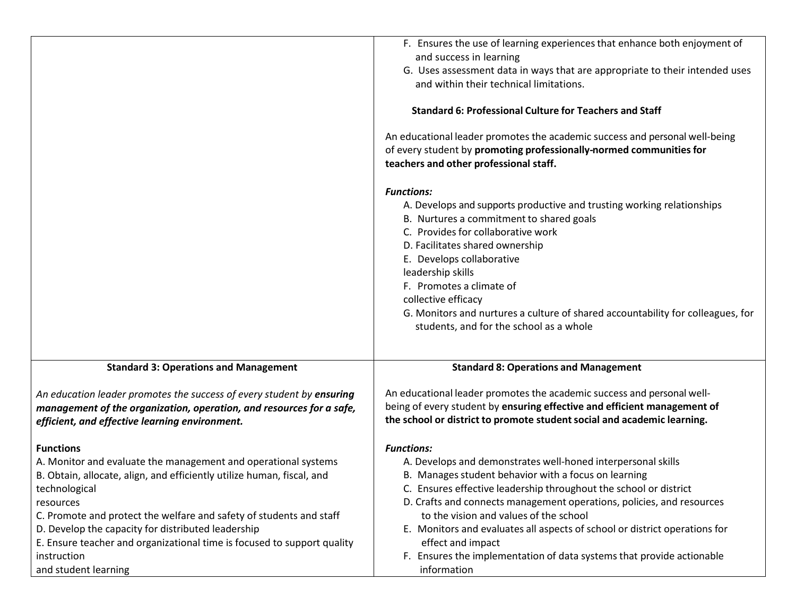|                                                                                                                                                                                                 | F. Ensures the use of learning experiences that enhance both enjoyment of<br>and success in learning<br>G. Uses assessment data in ways that are appropriate to their intended uses<br>and within their technical limitations.<br><b>Standard 6: Professional Culture for Teachers and Staff</b><br>An educational leader promotes the academic success and personal well-being<br>of every student by promoting professionally-normed communities for<br>teachers and other professional staff.<br><b>Functions:</b><br>A. Develops and supports productive and trusting working relationships<br>B. Nurtures a commitment to shared goals<br>C. Provides for collaborative work<br>D. Facilitates shared ownership<br>E. Develops collaborative<br>leadership skills<br>F. Promotes a climate of<br>collective efficacy<br>G. Monitors and nurtures a culture of shared accountability for colleagues, for<br>students, and for the school as a whole |
|-------------------------------------------------------------------------------------------------------------------------------------------------------------------------------------------------|---------------------------------------------------------------------------------------------------------------------------------------------------------------------------------------------------------------------------------------------------------------------------------------------------------------------------------------------------------------------------------------------------------------------------------------------------------------------------------------------------------------------------------------------------------------------------------------------------------------------------------------------------------------------------------------------------------------------------------------------------------------------------------------------------------------------------------------------------------------------------------------------------------------------------------------------------------|
| <b>Standard 3: Operations and Management</b>                                                                                                                                                    | <b>Standard 8: Operations and Management</b>                                                                                                                                                                                                                                                                                                                                                                                                                                                                                                                                                                                                                                                                                                                                                                                                                                                                                                            |
| An education leader promotes the success of every student by ensuring<br>management of the organization, operation, and resources for a safe,<br>efficient, and effective learning environment. | An educational leader promotes the academic success and personal well-<br>being of every student by ensuring effective and efficient management of<br>the school or district to promote student social and academic learning.                                                                                                                                                                                                                                                                                                                                                                                                                                                                                                                                                                                                                                                                                                                           |
| <b>Functions</b>                                                                                                                                                                                | <b>Functions:</b>                                                                                                                                                                                                                                                                                                                                                                                                                                                                                                                                                                                                                                                                                                                                                                                                                                                                                                                                       |
| A. Monitor and evaluate the management and operational systems<br>B. Obtain, allocate, align, and efficiently utilize human, fiscal, and                                                        | A. Develops and demonstrates well-honed interpersonal skills<br>B. Manages student behavior with a focus on learning                                                                                                                                                                                                                                                                                                                                                                                                                                                                                                                                                                                                                                                                                                                                                                                                                                    |
| technological                                                                                                                                                                                   | C. Ensures effective leadership throughout the school or district                                                                                                                                                                                                                                                                                                                                                                                                                                                                                                                                                                                                                                                                                                                                                                                                                                                                                       |
| resources                                                                                                                                                                                       | D. Crafts and connects management operations, policies, and resources                                                                                                                                                                                                                                                                                                                                                                                                                                                                                                                                                                                                                                                                                                                                                                                                                                                                                   |
| C. Promote and protect the welfare and safety of students and staff<br>D. Develop the capacity for distributed leadership                                                                       | to the vision and values of the school<br>E. Monitors and evaluates all aspects of school or district operations for                                                                                                                                                                                                                                                                                                                                                                                                                                                                                                                                                                                                                                                                                                                                                                                                                                    |
| E. Ensure teacher and organizational time is focused to support quality                                                                                                                         | effect and impact                                                                                                                                                                                                                                                                                                                                                                                                                                                                                                                                                                                                                                                                                                                                                                                                                                                                                                                                       |
| instruction                                                                                                                                                                                     | F. Ensures the implementation of data systems that provide actionable                                                                                                                                                                                                                                                                                                                                                                                                                                                                                                                                                                                                                                                                                                                                                                                                                                                                                   |
| and student learning                                                                                                                                                                            | information                                                                                                                                                                                                                                                                                                                                                                                                                                                                                                                                                                                                                                                                                                                                                                                                                                                                                                                                             |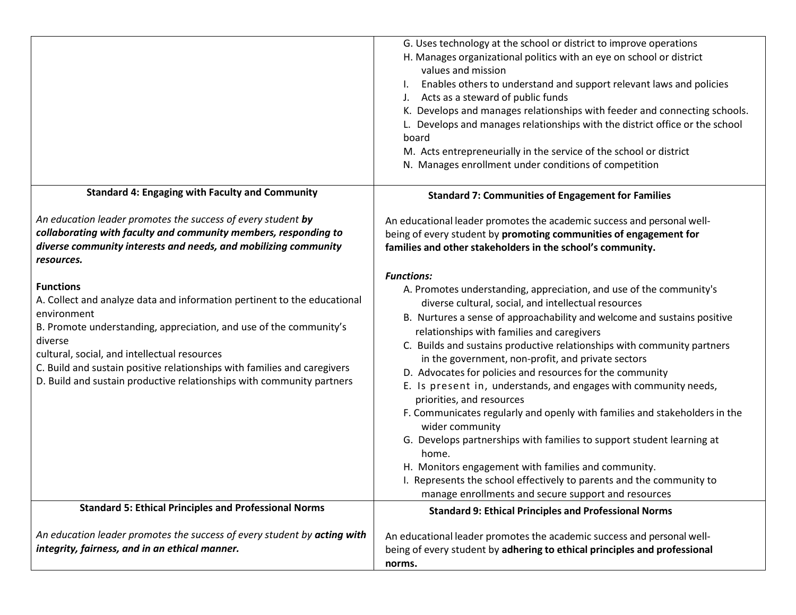|                                                                                                                                                                                                                                                                                                                                                                                                   | G. Uses technology at the school or district to improve operations<br>H. Manages organizational politics with an eye on school or district<br>values and mission<br>Enables others to understand and support relevant laws and policies<br>Acts as a steward of public funds<br>J.<br>K. Develops and manages relationships with feeder and connecting schools.<br>L. Develops and manages relationships with the district office or the school<br>board<br>M. Acts entrepreneurially in the service of the school or district<br>N. Manages enrollment under conditions of competition                                                                                                                                                                                                                                                                                                                                                            |
|---------------------------------------------------------------------------------------------------------------------------------------------------------------------------------------------------------------------------------------------------------------------------------------------------------------------------------------------------------------------------------------------------|----------------------------------------------------------------------------------------------------------------------------------------------------------------------------------------------------------------------------------------------------------------------------------------------------------------------------------------------------------------------------------------------------------------------------------------------------------------------------------------------------------------------------------------------------------------------------------------------------------------------------------------------------------------------------------------------------------------------------------------------------------------------------------------------------------------------------------------------------------------------------------------------------------------------------------------------------|
| <b>Standard 4: Engaging with Faculty and Community</b>                                                                                                                                                                                                                                                                                                                                            | <b>Standard 7: Communities of Engagement for Families</b>                                                                                                                                                                                                                                                                                                                                                                                                                                                                                                                                                                                                                                                                                                                                                                                                                                                                                          |
| An education leader promotes the success of every student by<br>collaborating with faculty and community members, responding to<br>diverse community interests and needs, and mobilizing community<br>resources.                                                                                                                                                                                  | An educational leader promotes the academic success and personal well-<br>being of every student by promoting communities of engagement for<br>families and other stakeholders in the school's community.                                                                                                                                                                                                                                                                                                                                                                                                                                                                                                                                                                                                                                                                                                                                          |
| <b>Functions</b><br>A. Collect and analyze data and information pertinent to the educational<br>environment<br>B. Promote understanding, appreciation, and use of the community's<br>diverse<br>cultural, social, and intellectual resources<br>C. Build and sustain positive relationships with families and caregivers<br>D. Build and sustain productive relationships with community partners | <b>Functions:</b><br>A. Promotes understanding, appreciation, and use of the community's<br>diverse cultural, social, and intellectual resources<br>B. Nurtures a sense of approachability and welcome and sustains positive<br>relationships with families and caregivers<br>C. Builds and sustains productive relationships with community partners<br>in the government, non-profit, and private sectors<br>D. Advocates for policies and resources for the community<br>E. Is present in, understands, and engages with community needs,<br>priorities, and resources<br>F. Communicates regularly and openly with families and stakeholders in the<br>wider community<br>G. Develops partnerships with families to support student learning at<br>home.<br>H. Monitors engagement with families and community.<br>I. Represents the school effectively to parents and the community to<br>manage enrollments and secure support and resources |
| <b>Standard 5: Ethical Principles and Professional Norms</b>                                                                                                                                                                                                                                                                                                                                      | <b>Standard 9: Ethical Principles and Professional Norms</b>                                                                                                                                                                                                                                                                                                                                                                                                                                                                                                                                                                                                                                                                                                                                                                                                                                                                                       |
| An education leader promotes the success of every student by acting with<br>integrity, fairness, and in an ethical manner.                                                                                                                                                                                                                                                                        | An educational leader promotes the academic success and personal well-<br>being of every student by adhering to ethical principles and professional<br>norms.                                                                                                                                                                                                                                                                                                                                                                                                                                                                                                                                                                                                                                                                                                                                                                                      |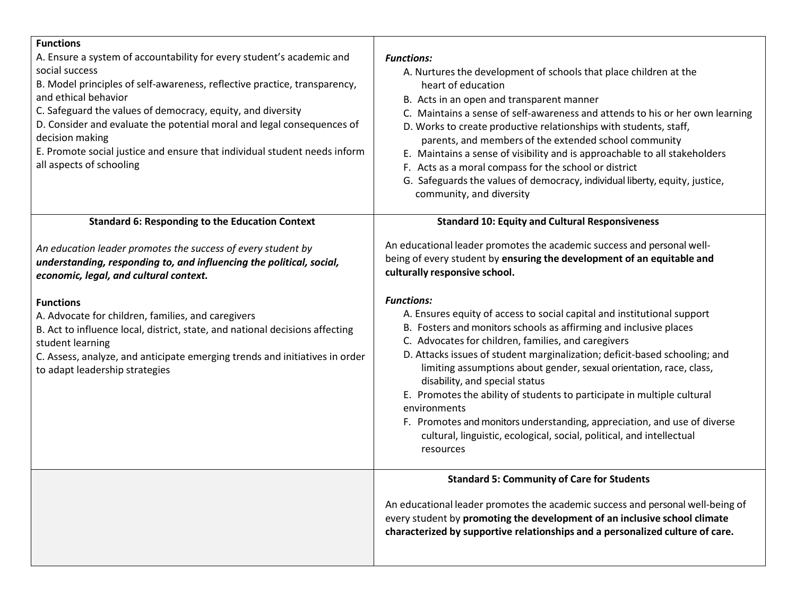| <b>Functions</b><br>A. Ensure a system of accountability for every student's academic and<br>social success<br>B. Model principles of self-awareness, reflective practice, transparency,<br>and ethical behavior                                                                            | <b>Functions:</b><br>A. Nurtures the development of schools that place children at the<br>heart of education                                                                                                                                                                                                                                                                                                                                                                                                                                                                                                                                                                 |
|---------------------------------------------------------------------------------------------------------------------------------------------------------------------------------------------------------------------------------------------------------------------------------------------|------------------------------------------------------------------------------------------------------------------------------------------------------------------------------------------------------------------------------------------------------------------------------------------------------------------------------------------------------------------------------------------------------------------------------------------------------------------------------------------------------------------------------------------------------------------------------------------------------------------------------------------------------------------------------|
| C. Safeguard the values of democracy, equity, and diversity<br>D. Consider and evaluate the potential moral and legal consequences of<br>decision making<br>E. Promote social justice and ensure that individual student needs inform<br>all aspects of schooling                           | B. Acts in an open and transparent manner<br>C. Maintains a sense of self-awareness and attends to his or her own learning<br>D. Works to create productive relationships with students, staff,<br>parents, and members of the extended school community<br>E. Maintains a sense of visibility and is approachable to all stakeholders<br>F. Acts as a moral compass for the school or district<br>G. Safeguards the values of democracy, individual liberty, equity, justice,<br>community, and diversity                                                                                                                                                                   |
| <b>Standard 6: Responding to the Education Context</b>                                                                                                                                                                                                                                      | <b>Standard 10: Equity and Cultural Responsiveness</b>                                                                                                                                                                                                                                                                                                                                                                                                                                                                                                                                                                                                                       |
| An education leader promotes the success of every student by<br>understanding, responding to, and influencing the political, social,<br>economic, legal, and cultural context.                                                                                                              | An educational leader promotes the academic success and personal well-<br>being of every student by ensuring the development of an equitable and<br>culturally responsive school.                                                                                                                                                                                                                                                                                                                                                                                                                                                                                            |
| <b>Functions</b><br>A. Advocate for children, families, and caregivers<br>B. Act to influence local, district, state, and national decisions affecting<br>student learning<br>C. Assess, analyze, and anticipate emerging trends and initiatives in order<br>to adapt leadership strategies | <b>Functions:</b><br>A. Ensures equity of access to social capital and institutional support<br>B. Fosters and monitors schools as affirming and inclusive places<br>C. Advocates for children, families, and caregivers<br>D. Attacks issues of student marginalization; deficit-based schooling; and<br>limiting assumptions about gender, sexual orientation, race, class,<br>disability, and special status<br>E. Promotes the ability of students to participate in multiple cultural<br>environments<br>F. Promotes and monitors understanding, appreciation, and use of diverse<br>cultural, linguistic, ecological, social, political, and intellectual<br>resources |
|                                                                                                                                                                                                                                                                                             | <b>Standard 5: Community of Care for Students</b><br>An educational leader promotes the academic success and personal well-being of<br>every student by promoting the development of an inclusive school climate<br>characterized by supportive relationships and a personalized culture of care.                                                                                                                                                                                                                                                                                                                                                                            |